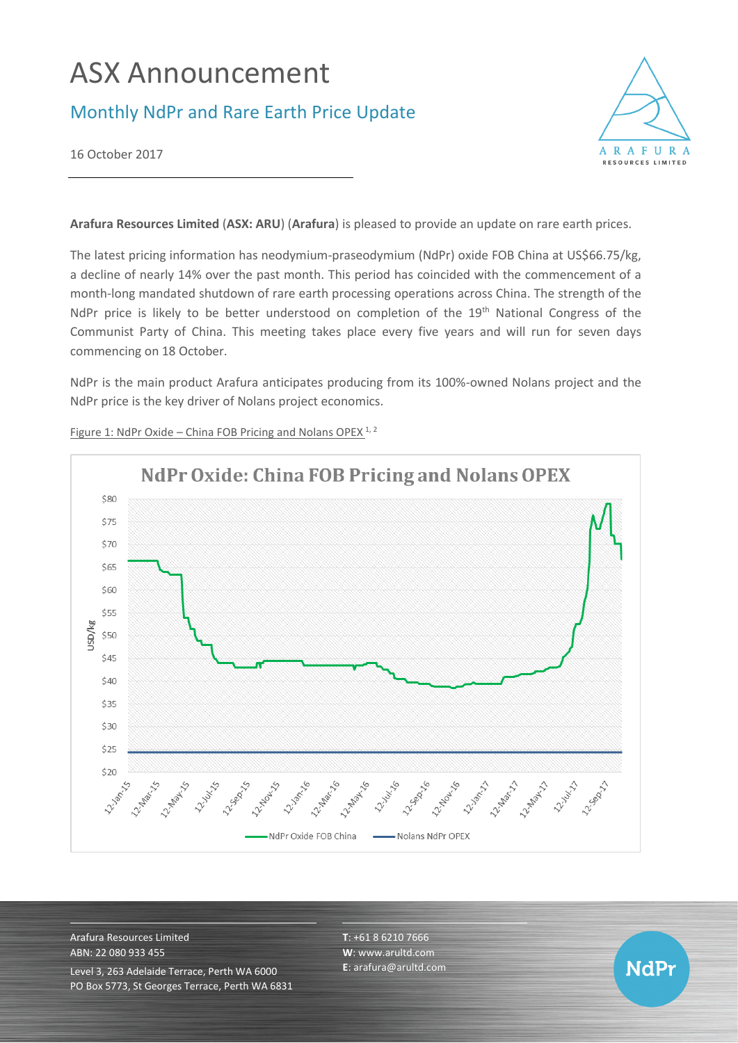# ASX Announcement

## Monthly NdPr and Rare Earth Price Update



**NdPr** 

16 October 2017

**Arafura Resources Limited** (**ASX: ARU**) (**Arafura**) is pleased to provide an update on rare earth prices.

The latest pricing information has neodymium-praseodymium (NdPr) oxide FOB China at US\$66.75/kg, a decline of nearly 14% over the past month. This period has coincided with the commencement of a month-long mandated shutdown of rare earth processing operations across China. The strength of the NdPr price is likely to be better understood on completion of the 19<sup>th</sup> National Congress of the Communist Party of China. This meeting takes place every five years and will run for seven days commencing on 18 October.

NdPr is the main product Arafura anticipates producing from its 100%-owned Nolans project and the NdPr price is the key driver of Nolans project economics.



Figure 1: NdPr Oxide – China FOB Pricing and Nolans OPEX<sup>1, 2</sup>

Arafura Resources Limited ABN: 22 080 933 455 Level 3, 263 Adelaide Terrace, Perth WA 6000 PO Box 5773, St Georges Terrace, Perth WA 6831 **T**: +61 8 6210 7666 **W**: [www.arultd.com](http://www.arultd.com/) **E**[: arafura@arultd.com](mailto:arafura@arultd.com)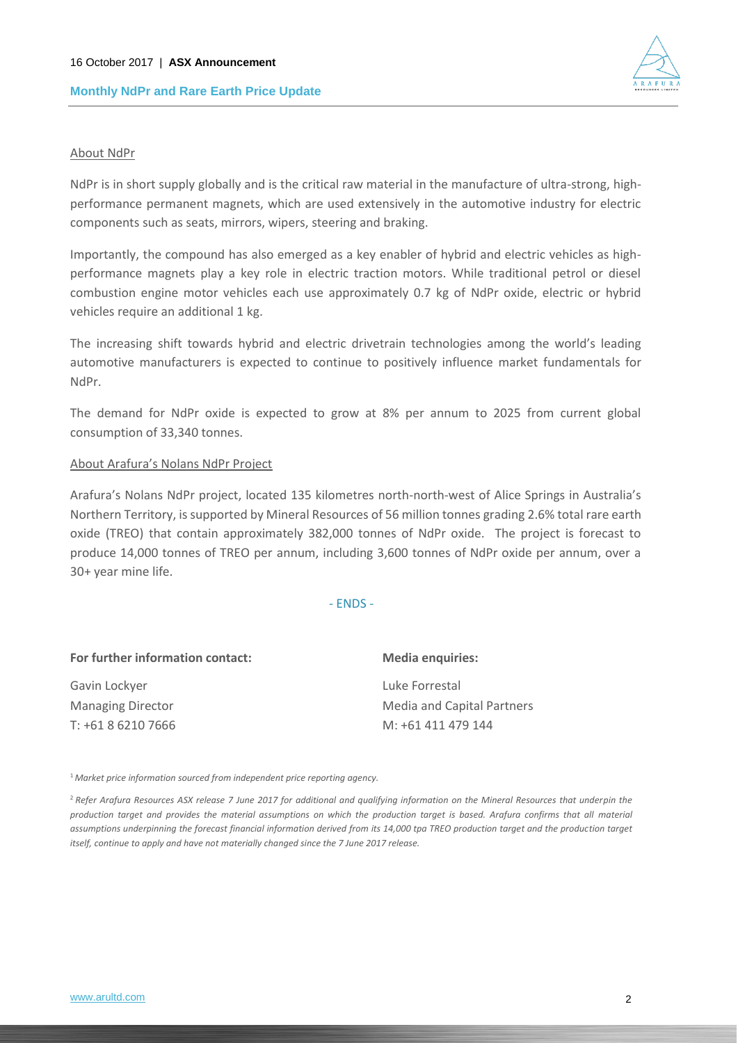

#### About NdPr

NdPr is in short supply globally and is the critical raw material in the manufacture of ultra-strong, highperformance permanent magnets, which are used extensively in the automotive industry for electric components such as seats, mirrors, wipers, steering and braking.

Importantly, the compound has also emerged as a key enabler of hybrid and electric vehicles as highperformance magnets play a key role in electric traction motors. While traditional petrol or diesel combustion engine motor vehicles each use approximately 0.7 kg of NdPr oxide, electric or hybrid vehicles require an additional 1 kg.

The increasing shift towards hybrid and electric drivetrain technologies among the world's leading automotive manufacturers is expected to continue to positively influence market fundamentals for NdPr.

The demand for NdPr oxide is expected to grow at 8% per annum to 2025 from current global consumption of 33,340 tonnes.

#### About Arafura's Nolans NdPr Project

Arafura's Nolans NdPr project, located 135 kilometres north-north-west of Alice Springs in Australia's Northern Territory, is supported by Mineral Resources of 56 million tonnes grading 2.6% total rare earth oxide (TREO) that contain approximately 382,000 tonnes of NdPr oxide. The project is forecast to produce 14,000 tonnes of TREO per annum, including 3,600 tonnes of NdPr oxide per annum, over a 30+ year mine life.

- ENDS -

| For further information contact: | <b>Media enquiries:</b>    |
|----------------------------------|----------------------------|
| Gavin Lockyer                    | Luke Forrestal             |
| <b>Managing Director</b>         | Media and Capital Partners |
| T: +61 8 6210 7666               | M: +61 411 479 144         |

<sup>1</sup>*Market price information sourced from independent price reporting agency.*

<sup>2</sup>*Refer Arafura Resources ASX release 7 June 2017 for additional and qualifying information on the Mineral Resources that underpin the production target and provides the material assumptions on which the production target is based. Arafura confirms that all material*  assumptions underpinning the forecast financial information derived from its 14,000 tpa TREO production target and the production target *itself, continue to apply and have not materially changed since the 7 June 2017 release.*